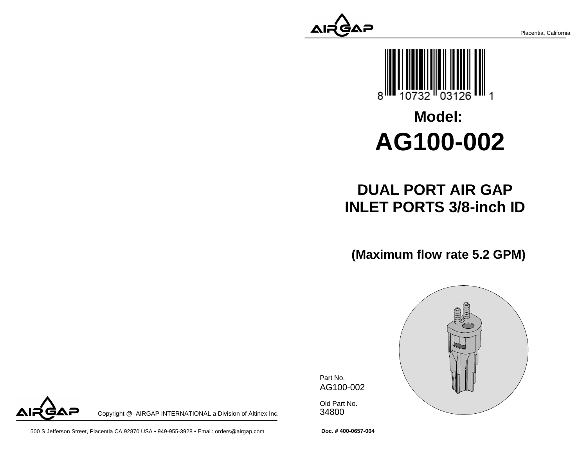Placentia, California



# **AG100-002Model:**

## **DUAL PORT AIR GAPINLET PORTS 3/8-inch ID**

**(Maximum flow rate 5.2 GPM)**



Part No. AG100-002

34800Old Part No.



Copyright @ AIRGAP INTERNATIONAL a Division of Altinex Inc.

500 S Jefferson Street, Placentia CA 92870 USA • 949-955-3928 • Email: orders@airgap.com

**Doc. # 400-0657-004**